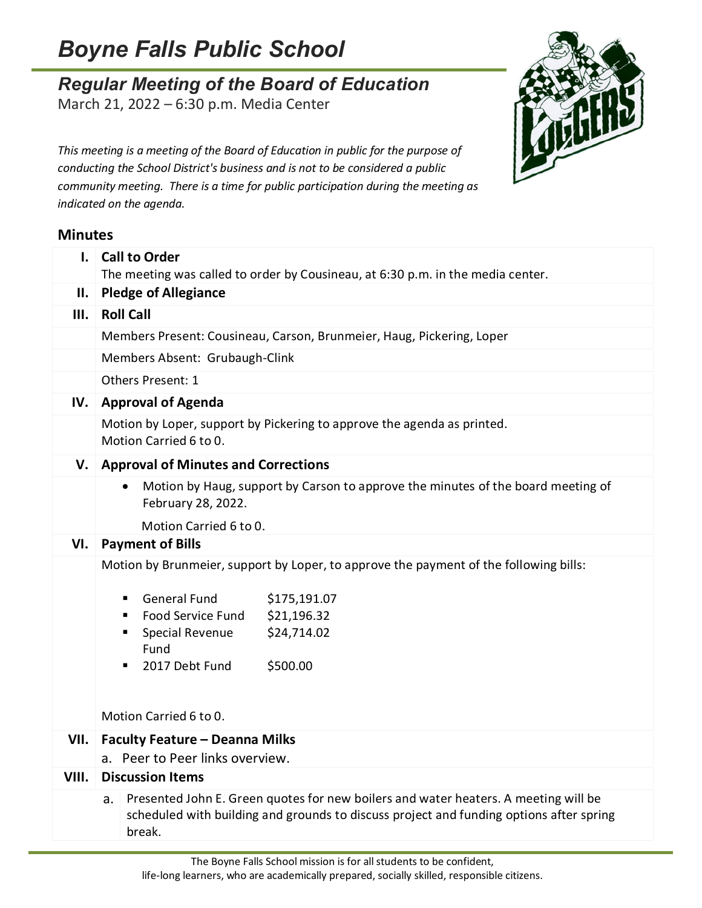## *Boyne Falls Public School*

## *Regular Meeting of the Board of Education*

March 21, 2022 – 6:30 p.m. Media Center



*This meeting is a meeting of the Board of Education in public for the purpose of conducting the School District's business and is not to be considered a public community meeting. There is a time for public participation during the meeting as indicated on the agenda.*

## **Minutes**

| $\mathbf{I}$ . | <b>Call to Order</b><br>The meeting was called to order by Cousineau, at 6:30 p.m. in the media center.                                                             |
|----------------|---------------------------------------------------------------------------------------------------------------------------------------------------------------------|
|                | II. Pledge of Allegiance                                                                                                                                            |
| Ш.             | <b>Roll Call</b>                                                                                                                                                    |
|                | Members Present: Cousineau, Carson, Brunmeier, Haug, Pickering, Loper                                                                                               |
|                | Members Absent: Grubaugh-Clink                                                                                                                                      |
|                | <b>Others Present: 1</b>                                                                                                                                            |
| IV.            | <b>Approval of Agenda</b>                                                                                                                                           |
|                | Motion by Loper, support by Pickering to approve the agenda as printed.<br>Motion Carried 6 to 0.                                                                   |
| V.             | <b>Approval of Minutes and Corrections</b>                                                                                                                          |
|                | Motion by Haug, support by Carson to approve the minutes of the board meeting of<br>$\bullet$<br>February 28, 2022.                                                 |
|                | Motion Carried 6 to 0.                                                                                                                                              |
| VI.            | <b>Payment of Bills</b>                                                                                                                                             |
|                | Motion by Brunmeier, support by Loper, to approve the payment of the following bills:                                                                               |
|                | <b>General Fund</b><br>\$175,191.07<br>٠<br>Food Service Fund<br>\$21,196.32<br>п<br>\$24,714.02<br>Special Revenue<br>п<br>Fund<br>\$500.00<br>2017 Debt Fund<br>٠ |
|                | Motion Carried 6 to 0.                                                                                                                                              |
|                | VII.   Faculty Feature - Deanna Milks                                                                                                                               |
| VIII.          | a. Peer to Peer links overview.<br><b>Discussion Items</b>                                                                                                          |
|                | Presented John E. Green quotes for new boilers and water heaters. A meeting will be<br>а.                                                                           |
|                | scheduled with building and grounds to discuss project and funding options after spring<br>break.                                                                   |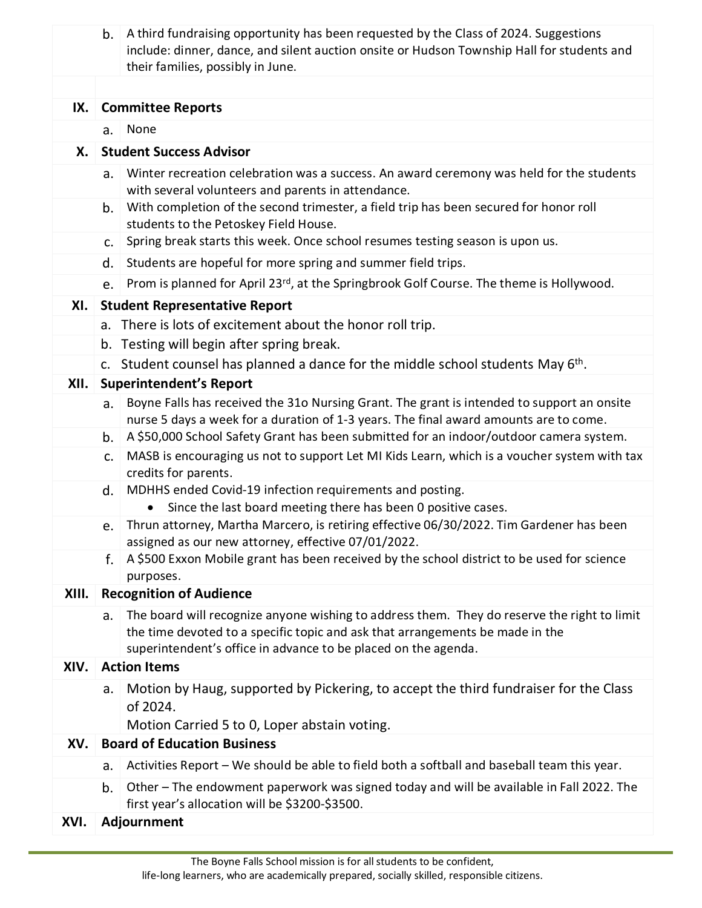|       | b. | A third fundraising opportunity has been requested by the Class of 2024. Suggestions<br>include: dinner, dance, and silent auction onsite or Hudson Township Hall for students and<br>their families, possibly in June.                        |
|-------|----|------------------------------------------------------------------------------------------------------------------------------------------------------------------------------------------------------------------------------------------------|
| IX.   |    | <b>Committee Reports</b>                                                                                                                                                                                                                       |
|       | a. | None                                                                                                                                                                                                                                           |
| Х.    |    | <b>Student Success Advisor</b>                                                                                                                                                                                                                 |
|       | a. | Winter recreation celebration was a success. An award ceremony was held for the students<br>with several volunteers and parents in attendance.                                                                                                 |
|       | b. | With completion of the second trimester, a field trip has been secured for honor roll<br>students to the Petoskey Field House.                                                                                                                 |
|       | C. | Spring break starts this week. Once school resumes testing season is upon us.                                                                                                                                                                  |
|       | d. | Students are hopeful for more spring and summer field trips.                                                                                                                                                                                   |
|       | e. | Prom is planned for April 23rd, at the Springbrook Golf Course. The theme is Hollywood.                                                                                                                                                        |
| XI.   |    | <b>Student Representative Report</b>                                                                                                                                                                                                           |
|       |    | a. There is lots of excitement about the honor roll trip.                                                                                                                                                                                      |
|       |    | b. Testing will begin after spring break.                                                                                                                                                                                                      |
|       |    | c. Student counsel has planned a dance for the middle school students May 6 <sup>th</sup> .                                                                                                                                                    |
| XII.  |    | <b>Superintendent's Report</b>                                                                                                                                                                                                                 |
|       | a. | Boyne Falls has received the 31o Nursing Grant. The grant is intended to support an onsite<br>nurse 5 days a week for a duration of 1-3 years. The final award amounts are to come.                                                            |
|       | b. | A \$50,000 School Safety Grant has been submitted for an indoor/outdoor camera system.                                                                                                                                                         |
|       | c. | MASB is encouraging us not to support Let MI Kids Learn, which is a voucher system with tax<br>credits for parents.                                                                                                                            |
|       | d. | MDHHS ended Covid-19 infection requirements and posting.<br>Since the last board meeting there has been 0 positive cases.<br>$\bullet$                                                                                                         |
|       |    | e. Thrun attorney, Martha Marcero, is retiring effective 06/30/2022. Tim Gardener has been<br>assigned as our new attorney, effective 07/01/2022.                                                                                              |
|       | f. | A \$500 Exxon Mobile grant has been received by the school district to be used for science<br>purposes.                                                                                                                                        |
| XIII. |    | <b>Recognition of Audience</b>                                                                                                                                                                                                                 |
|       | a. | The board will recognize anyone wishing to address them. They do reserve the right to limit<br>the time devoted to a specific topic and ask that arrangements be made in the<br>superintendent's office in advance to be placed on the agenda. |
| XIV.  |    | <b>Action Items</b>                                                                                                                                                                                                                            |
|       | a. | Motion by Haug, supported by Pickering, to accept the third fundraiser for the Class<br>of 2024.<br>Motion Carried 5 to 0, Loper abstain voting.                                                                                               |
| XV.   |    | <b>Board of Education Business</b>                                                                                                                                                                                                             |
|       | a. | Activities Report - We should be able to field both a softball and baseball team this year.                                                                                                                                                    |
|       | b. | Other – The endowment paperwork was signed today and will be available in Fall 2022. The<br>first year's allocation will be \$3200-\$3500.                                                                                                     |
| XVI.  |    | Adjournment                                                                                                                                                                                                                                    |